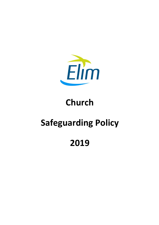

# **Church**

# **Safeguarding Policy**

# **2019**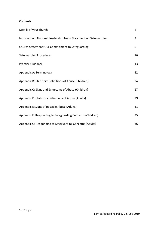# **Contents**

| Details of your church                                           | $\overline{2}$ |
|------------------------------------------------------------------|----------------|
| Introduction: National Leadership Team Statement on Safeguarding | 3              |
| Church Statement: Our Commitment to Safeguarding                 | 5              |
| <b>Safeguarding Procedures</b>                                   | 10             |
| <b>Practice Guidance</b>                                         | 13             |
| Appendix A: Terminology                                          | 22             |
| Appendix B: Statutory Definitions of Abuse (Children)            | 24             |
| Appendix C: Signs and Symptoms of Abuse (Children)               | 27             |
| Appendix D: Statutory Definitions of Abuse (Adults)              | 29             |
| Appendix E: Signs of possible Abuse (Adults)                     | 31             |
| Appendix F: Responding to Safeguarding Concerns (Children)       | 35             |
| Appendix G: Responding to Safeguarding Concerns (Adults)         | 36             |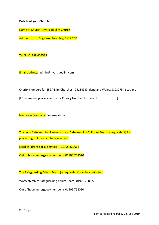# **Details of your Church**

Name of Church: Riverside Elim Church

Address: Dog Lane, Bewdley, DY12 2EF

Tel No:01299 405535

Email address: admin@riversideelim.com

Charity Numbers for EFGA Elim Churches: 251549 England and Wales, SC037754 Scotland

[ECI members please insert your Charity Number if different:  $\vert$ 

Insurance Company: Congregational

The Local Safeguarding Partners (Local Safeguarding Children Board or equivalent) for protecting children can be contacted:

Local childrens social services – 01905 822666

Out of hours emergency number is 01905 768020

The Safeguarding Adults Board (or equivalent) can be contacted:

Worcestershire Safeguarding Adults Board: 01905 768 053

Out of hours emergency number is 01905 768020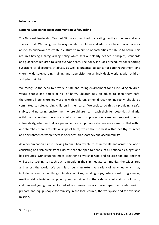#### **Introduction**

#### **National Leadership Team Statement on Safeguarding**

The National Leadership Team of Elim are committed to creating healthy churches and safe spaces for all. We recognise the ways in which children and adults can be at risk of harm or abuse, so endeavour to create a culture to minimise opportunities for abuse to occur. This requires having a safeguarding policy which sets out clearly defined principles, standards and guidelines required to keep everyone safe. The policy includes procedures for reporting suspicions or allegations of abuse, as well as practical guidance for safer recruitment, and church wide safeguarding training and supervision for all individuals working with children and adults at risk.

We recognise the need to provide a safe and caring environment for all including children, young people and adults at risk of harm. Children rely on adults to keep them safe, therefore all our churches working with children, either directly or indirectly, should be committed to safeguarding children in their care. We seek to do this by providing a safe, stable, and nurturing environment where children can reach their full potential. Similarly, within our churches there are adults in need of protection, care and support due to vulnerability, whether that is a permanent or temporary state. We are aware too that within our churches there are relationships of trust, which flourish best within healthy churches and environments, where there is openness, transparency and accountability.

As a denomination Elim is seeking to build healthy churches in the UK and across the world consisting of a rich diversity of cultures that are open to people of all nationalities, ages and backgrounds. Our churches meet together to worship God and to care for one another whilst also seeking to reach out to people in their immediate community, the wider area and across the world. We do this through an extensive variety of activities which may include, among other things; Sunday services, small groups, educational programmes, medical aid, alleviation of poverty and activities for the elderly, adults at risk of harm, children and young people. As part of our mission we also have departments who seek to prepare and equip people for ministry in the local church, the workplace and for overseas mission.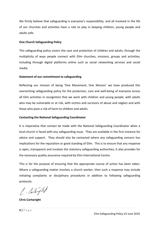We firmly believe that safeguarding is everyone's responsibility, and all involved in the life of our churches and activities have a role to play in keeping children, young people and adults safe.

# **One Church Safeguarding Policy**

This safeguarding policy covers the care and protection of children and adults, through the multiplicity of ways people connect with Elim churches, missions, groups and activities; including through digital platforms online such as social networking services and social media.

# **Statement of our commitment to safeguarding**

Reflecting our mission of being 'One Movement, One Mission' we have produced this overarching safeguarding policy for the protection, care and well-being of everyone across all Elim activities in recognition that we work with children and young people, with adults who may be vulnerable or at risk, with victims and survivors of abuse and neglect and with those who pose a risk of harm to children and adults.

# **Contacting the National Safeguarding Coordinator**

It is imperative that contact be made with the National Safeguarding Coordinator when a local church is faced with any safeguarding issue. They are available in the first instance for advice and support. They should also be contacted where any safeguarding concern has implications for the reputation or good standing of Elim. This is to ensure that any response is open, transparent and involves the statutory safeguarding authorities; it also provides for the necessary quality assurance required by Elim International Centre.

This is for the purpose of ensuring that the appropriate course of action has been taken. Where a safeguarding matter involves a church worker, then such a response may include initiating complaints or disciplinary procedures in addition to following safeguarding protocols.

C. Carlyn.

**Chris Cartwright**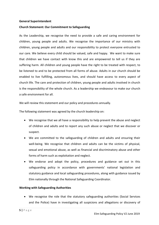#### **General Superintendent**

#### **Church Statement: Our Commitment to Safeguarding**

As the Leadership, we recognise the need to provide a safe and caring environment for children, young people and adults. We recognise the importance of our ministry with children, young people and adults and our responsibility to protect everyone entrusted to our care. We believe every child should be valued, safe and happy. We want to make sure that children we have contact with know this and are empowered to tell us if they are suffering harm. All children and young people have the right to be treated with respect, to be listened to and to be protected from all forms of abuse. Adults in our church should be enabled to live fulfilling, autonomous lives, and should have access to every aspect of church life. The care and protection of children, young people and adults involved in church is the responsibility of the whole church. As a leadership we endeavour to make our church a safe environment for all.

We will review this statement and our policy and procedures annually.

The following statement was agreed by the church leadership on:

- We recognise that we all have a responsibility to help prevent the abuse and neglect of children and adults and to report any such abuse or neglect that we discover or suspect.
- We are committed to the safeguarding of children and adults and ensuring their well-being. We recognise that children and adults can be the victims of physical, sexual and emotional abuse, as well as financial and discriminatory abuse and other forms of harm such as exploitation and neglect.
- We endorse and adopt the policy, procedures and guidance set out in this safeguarding policy in accordance with governments' national legislation and statutory guidance and local safeguarding procedures, along with guidance issued by Elim nationally through the National Safeguarding Coordinator.

#### **Working with Safeguarding Authorities**

• We recognise the role that the statutory safeguarding authorities (Social Services and the Police) have in investigating all suspicions and allegations or discovery of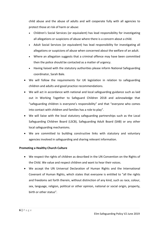child abuse and the abuse of adults and will cooperate fully with all agencies to protect those at risk of harm or abuse:

- Children's Social Services (or equivalent) has lead responsibility for investigating all allegations or suspicions of abuse where there is a concern about a child.
- Adult Social Services (or equivalent) has lead responsibility for investigating all allegations or suspicions of abuse when concerned about the welfare of an adult.
- Where an allegation suggests that a criminal offence may have been committed then the police should be contacted as a matter of urgency.
- Having liaised with the statutory authorities please inform National Safeguarding coordinator, Sarah Bale.
- We will follow the requirements for UK legislation in relation to safeguarding children and adults and good practice recommendations.
- We will act in accordance with national and local safeguarding guidance such as laid out in Working Together to Safeguard Children 2018 and acknowledge that "safeguarding children is everyone's responsibility" and that "everyone who comes into contact with children and families has a role to play".
- We will liaise with the local statutory safeguarding partnerships such as the Local Safeguarding Children Board (LSCB), Safeguarding Adult Board (SAB) or any other local safeguarding mechanisms.
- We are committed to building constructive links with statutory and voluntary agencies involved in safeguarding and sharing relevant information.

# **Promoting a Healthy Church Culture**

- We respect the rights of children as described in the UN Convention on the Rights of the Child. We value and respect children and want to hear their voices.
- We accept the UN Universal Declaration of Human Rights and the International Covenant of Human Rights, which states that everyone is entitled to "all the rights and freedoms set forth therein, without distinction of any kind, such as race, colour, sex, language, religion, political or other opinion, national or social origin, property, birth or other status".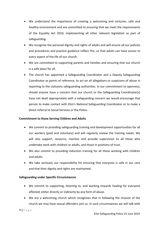- We understand the importance of creating a welcoming and inclusive, safe and healthy environment and are committed to ensuring that we meet the requirements of the Equality Act 2010, implementing all other relevant legislation as part of safeguarding.
- We recognise the personal dignity and rights of adults and will ensure all our policies and procedures and practice guidance reflect this, so that adults can have access to every aspect of the life of our church.
- We are committed to supporting parents and families and ensuring that our church is a safe place for all.
- The church has appointed a Safeguarding Coordinator and a Deputy Safeguarding Coordinator as points of reference, to act on all allegations or suspicions of abuse in reporting to the statutory safeguarding authorities. In our commitment to openness, should anyone have a concern that our church or the Safeguarding Coordinator(s) have not dealt appropriately with a safeguarding concern we would encourage that person to make contact with Elim's National Safeguarding Coordinator or to make a direct referral to Social Services or the Police.

# **Commitment to those Serving Children and Adults**

- We commit to providing safeguarding training and development opportunities for all our workers (paid and voluntary) and will regularly review the training needs. We will also support, resource, monitor and provide supervision to all those who undertake work with children or adults, and those in positions of trust.
- We also commit to providing induction training for all those working with children and adults.
- We take seriously our responsibility for ensuring that everyone is safe in our care and that their dignity and rights are maintained.

# **Safeguarding under Specific Circumstances**

- We commit to supporting, listening to, and working towards healing for everyone affected; either directly or indirectly by any form of abuse.
- We are a welcoming church which recognises that in following the mission of the church we may have sexual offenders join us. In such circumstances we willtalk with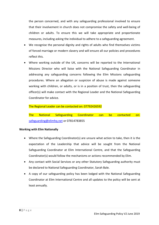the person concerned, and with any safeguarding professional involved to ensure that their involvement in church does not compromise the safety and well-being of children or adults. To ensure this we will take appropriate and proportionate measures, including asking the individual to adhere to a safeguarding agreement.

- We recognise the personal dignity and rights of adults who find themselves victims of forced marriage or modern slavery and will ensure all our policies and procedures reflect this.
- Where working outside of the UK, concerns will be reported to the International Missions Director who will liaise with the National Safeguarding Coordinator in addressing any safeguarding concerns following the Elim Missions safeguarding procedures. Where an allegation or suspicion of abuse is made against someone working with children, or adults, or is in a position of trust, then the safeguarding officer(s) will make contact with the Regional Leader and the National Safeguarding Coordinator for advice.

# The Regional Leader can be contacted on: 07792426592

The National Safeguarding Coordinator can be contacted on: [safeguarding@elimhq.net](mailto:safeguarding@elimhq.net) or 07814783855

#### **Working with Elim Nationally**

- Where the Safeguarding Coordinator(s) are unsure what action to take, then it is the expectation of the Leadership that advice will be sought from the National Safeguarding Coordinator at Elim International Centre, and that the Safeguarding Coordinator(s) would follow the mechanisms or actions recommended by Elim.
- Any contact with Social Services or any other Statutory Safeguarding authority must be declared to National Safeguarding Coordinator, Sarah Bale.
- A copy of our safeguarding policy has been lodged with the National Safeguarding Coordinator at Elim International Centre and all updates to the policy will be sent at least annually.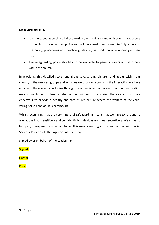# **Safeguarding Policy**

- It is the expectation that all those working with children and with adults have access to the church safeguarding policy and will have read it and agreed to fully adhere to the policy, procedures and practice guidelines, as condition of continuing in their role.
- The safeguarding policy should also be available to parents, carers and all others within the church.

In providing this detailed statement about safeguarding children and adults within our church, in the services, groups and activities we provide, along with the interaction we have outside of these events, including through social media and other electronic communication means, we hope to demonstrate our commitment to ensuring the safety of all. We endeavour to provide a healthy and safe church culture where the welfare of the child, young person and adult is paramount.

Whilst recognising that the very nature of safeguarding means that we have to respond to allegations both sensitively and confidentially, this does not mean secretively. We strive to be open, transparent and accountable. This means seeking advice and liaising with Social Services, Police and other agencies as necessary.

Signed by or on behalf of the Leadership

Signed:

Name:

Date: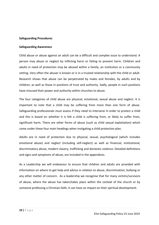#### **Safeguarding Procedures**

#### **Safeguarding Awareness**

Child abuse or abuse against an adult can be a difficult and complex issue to understand.A person may abuse or neglect by inflicting harm or failing to prevent harm. Children and adults in need of protection may be abused within a family, an institution or a community setting. Very often the abuser is known or is in a trusted relationship with the child or adult. Research shows that abuse can be perpetrated bymales and females, by adults and by children, as well as those in positions of trust and authority. Sadly, people in such positions have misused their power and authority within churches to abuse.

The four categories of child abuse are physical, emotional, sexual abuse and neglect. It is important to note that a child may be suffering from more than one form of abuse. Safeguarding professionals must assess if they need to intervene in order to protect a child and this is based on whether it is felt a child is suffering from, or likely to suffer from, significant harm. There are other forms of abuse (such as child sexual exploitation) which come under these four main headings when instigating a child protection plan.

Adults are in need of protection due to physical, sexual, psychological (which includes emotional abuse) and neglect (including self-neglect) as well as financial, institutional, discriminatory abuse, modern slavery, trafficking and domestic violence. Detailed definitions and signs and symptoms of abuse, are included in the appendices.

As a Leadership we will endeavour to ensure that children and adults are provided with information on where to get help and advice in relation to abuse, discrimination, bullying or any other matter of concern. As a leadership we recognise that for many victims/survivors of abuse, where the abuse has taken/takes place within the context of the church or by someone professing a Christian faith, it can have an impact on their spiritual development.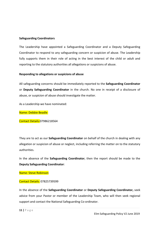### **Safeguarding Coordinators**

The Leadership have appointed a Safeguarding Coordinator and a Deputy Safeguarding Coordinator to respond to any safeguarding concern or suspicion of abuse. The Leadership fully supports them in their role of acting in the best interest of the child or adult and reporting to the statutory authorities all allegations or suspicions of abuse.

# **Responding to allegations or suspicions of abuse**

All safeguarding concerns should be immediately reported to the **Safeguarding Coordinator** or **Deputy Safeguarding Coordinator** in the church.No one in receipt of a disclosure of abuse, or suspicion of abuse should investigate the matter.

As a Leadership we have nominated:

Name: Debbie Beadle

Contact Details:07986218564

They are to act as our **Safeguarding Coordinator** on behalf of the church in dealing with any allegation or suspicion of abuse or neglect, including referring the matter on to the statutory authorities.

In the absence of the **Safeguarding Coordinator**, then the report should be made to the **Deputy Safeguarding Coordinator**:

Name: Steve Robinson

# Contact Details: 07825739599

In the absence of the **Safeguarding Coordinator** or **Deputy Safeguarding Coordinator,** seek advice from your Pastor or member of the Leadership Team, who will then seek regional support and contact the National Safeguarding Co-ordinator.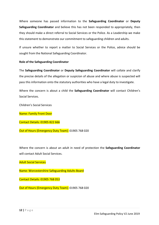Where someone haspassed information to the **Safeguarding Coordinator** or **Deputy Safeguarding Coordinator** and believe this has not been responded to appropriately, then they should make a direct referral to Social Services or the Police. As a Leadership we make this statement to demonstrate our commitment to safeguarding children and adults.

If unsure whether to report a matter to Social Services or the Police, advice should be sought from the National Safeguarding Coordinator.

# **Role of the Safeguarding Coordinator**

The **Safeguarding Coordinator** or **Deputy Safeguarding Coordinator** will collate and clarify the precise details of the allegation or suspicion of abuse and where abuse is suspected will pass this information onto the statutory authorities who have a legal duty to investigate.

Where the concern is about a child the **Safeguarding Coordinator** will contact Children's Social Services.

Children's Social Services

Name: Family Front Door

Contact Details: 01905 822 666

Out of Hours (Emergency Duty Team): 01905 768 020

Where the concern is about an adult in need of protection the **Safeguarding Coordinator** will contact Adult Social Services.

#### Adult Social Services

Name: Worcestershire Safeguarding Adults Board

Contact Details: 01905 768 053

Out of Hours (Emergency Duty Team): 01905 768 020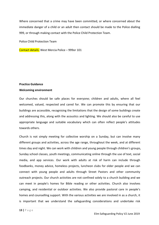Where concerned that a crime may have been committed, or where concerned about the immediate danger of a child or an adult then contact should be made to the Police dialling 999, or through making contact with the Police Child Protection Team.

Police Child Protection Team

Contact details: West Mercia Police – 999or 101

#### **Practice Guidance**

#### **Welcoming environment**

Our churches should be safe places for everyone; children and adults,where all feel welcomed, valued, respected and cared for. We can promote this by ensuring that our buildings are accessible, recognising the limitations that the design of some buildings create and addressing this, along with the acoustics and lighting. We should also be careful to use appropriate language and suitable vocabulary which can often reflect people's attitudes towards others.

Church is not simply meeting for collective worship on a Sunday, but can involve many different groups and activities, across the age range, throughout the week, and at different times day and night. We can work with children and young people through children's groups, Sunday school classes, youth meetings, communicating online through the use of text, social media, and app services. Our work with adults at risk of harm can include through foodbanks, money advice, homeless projects, luncheon clubs for older people and we can connect with young people and adults through Street Pastors and other community outreach projects. Our church activities are not confined solely to a church building and we can meet in people's homes for Bible reading or other activities. Church also involves camping, and residential or outdoor activities. We also provide pastoral care in people's homes and counselling support. With the various activities we are involved in as a church, it is important that we understand the safeguarding considerations and undertake risk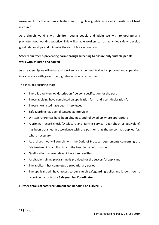assessments for the various activities, enforcing clear guidelines for all in positions of trust in church.

As a church working with children, young people and adults we wish to operate and promote good working practice. This will enable workers to run activities safely, develop good relationships and minimise the risk of false accusation.

# **Safer recruitment (preventing harm through screening to ensure only suitable people work with children and adults)**

As a Leadership we will ensure all workers are appointed, trained, supported and supervised in accordance with government guidance on safe recruitment.

This includes ensuring that:

- There is a written job description / person specification for the post
- Those applying have completed an application form and a self-declaration form
- Those short listed have been interviewed
- Safeguarding has been discussed at interview
- Written references have been obtained, and followed up where appropriate
- A criminal record check (Disclosure and Barring Service (DBS) check or equivalent) has been obtained in accordance with the position that the person has applied for, where necessary
- As a church we will comply with the Code of Practice requirements concerning the fair treatment of applicants and the handling of information
- Qualifications where relevant have been verified
- A suitable training programme is provided for the successful applicant
- The applicant has completed a probationary period
- The applicant will have access to our church safeguarding policy and knows how to report concerns to the **Safeguarding Coordinator**.

#### **Further details of safer recruitment can be found on ELIMNET.**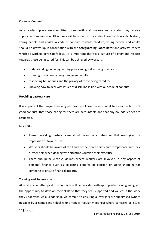# **Codes of Conduct**

As a Leadership we are committed to supporting all workers and ensuring they receive support and supervision. All workers will be issued with a code of conduct towards children, young people and adults. A code of conduct towards children, young people and adults should be drawn up in consultation with the **Safeguarding Coordinator** and activity leaders which all workers agree to follow. It is important there is a culture of dignity and respect towards those being cared for.This can be achieved by workers:

- understanding our safeguarding policy and good working practice
- listening to children, young people and adults
- respecting boundaries and the privacy of those being cared for
- knowing how to deal with issues of discipline in line with our code of conduct

# **Providing pastoral care**

It is important that anyone seeking pastoral care knows exactly what to expect in terms of good conduct, that those caring for them are accountable and that any boundaries set are respected.

In addition:

- Those providing pastoral care should avoid any behaviour that may give the impression of favouritism
- Workers should be aware of the limits of their own ability and competence and seek further help when dealing with situations outside their expertise
- There should be clear guidelines where workers are involved in any aspect of personal finance such as collecting benefits or pension or going shopping for someone to ensure financial integrity

# **Training and Supervision**

All workers (whether paid or voluntary), will be provided with appropriate training and given the opportunity to develop their skills so that they feel supported and valued in the work they undertake. As a Leadership, we commit to ensuring all workers are supervised (where possible by a named individual who arranges regular meetings) where concerns or issues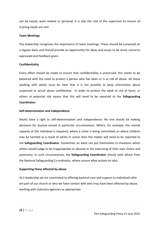can be raised, work related or personal. It is also the role of the supervisor to ensure all training needs are met.

#### **Team Meetings**

The leadership recognises the importance of team meetings. These should be convened on a regular basis and should provide an opportunity for ideas and issues to be aired, concerns expressed and feedback given.

# **Confidentiality**

Every effort should be made to ensure that confidentiality is preserved; this needs to be balanced with the need to protect a person who has been or is at risk of abuse. All those working with adults must be clear that it is not possible to keep information about suspected or actual abuse confidential. In order to protect the adult at risk of harm, or others at potential risk means that this will need to be reported to the **Safeguarding Coordinator.**

### **Self-determination and independence**

Adults have a right to self-determination and independence. No one should be making decisions for anyone except in particular circumstances. Where, for example, the mental capacity of the individual is impaired, where a crime is being committed, or where children may be harmed as a result of adults in action then the matter will need to be reported to the **Safeguarding Coordinator**. Sometimes an adult can put themselves in situations which others would judge to be inappropriate or abusive in the exercising of their own choice and autonomy. In such circumstances, the **Safeguarding Coordinator** should seek advice from the National Safeguarding Co-ordinator, where unsure what actions to take.

#### **Supporting those affected byabuse**

As a leadership we are committed to offering pastoral care and support to individuals who are part of our church or who we have contact with who may have been affected by abuse, working with statutory agencies as appropriate.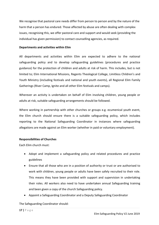We recognise that pastoral care needs differ from person to person and by the nature of the harm that a person has endured. Those affected by abuse are often dealing with complex issues, recognising this, we offer pastoral care and support and would seek (providing the individual has given permission) to contact counselling agencies, as required.

# **Departments and activities within Elim**

All departments and activities within Elim are expected to adhere to the national safeguarding policy and to develop safeguarding guidelines (procedures and practice guidance) for the protection of children and adults at risk of harm. This includes, but is not limited to; Elim International Missions, Regents Theological College, Limitless Children's and Youth Ministry (including festivals and national and youth events), all Regional Elim Family Gatherings (River Camp, Ignite and all other Elim festivals and camps).

Wherever an activity is undertaken on behalf of Elim involving children, young people or adults at risk, suitable safeguarding arrangements should be followed.

Where working in partnership with other churches or groups e.g. ecumenical youth event, the Elim church should ensure there is a suitable safeguarding policy, which includes reporting to the National Safeguarding Coordinator in instances where safeguarding allegations are made against an Elim worker (whether in paid or voluntary employment).

# **Responsibilities of Churches**

Each Elim church must:

- Adopt and implement a safeguarding policy and related procedures and practice guidelines
- Ensure that all those who are in a position of authority or trust or are authorised to work with children, young people or adults have been safely recruited to their role. This means they have been provided with support and supervision in undertaking their roles. All workers also need to have undertaken annual Safeguarding training and been given a copy of the church Safeguarding policy.
- Appoint a Safeguarding Coordinator and a Deputy Safeguarding Coordinator

The Safeguarding Coordinator should: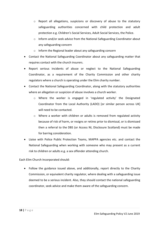- $\circ$  Report all allegations, suspicions or discovery of abuse to the statutory safeguarding authorities concerned with child protection and adult protection e.g. Children's Social Services, Adult Social Services, the Police.
- o Inform and/or seek advice from the National Safeguarding Coordinator about any safeguarding concern
- o Inform the Regional leader about any safeguarding concern
- Contact the National Safeguarding Coordinator about any safeguarding matter that requires contact with the church insurers.
- Report serious incidents of abuse or neglect to the National Safeguarding Coordinator, as a requirement of the Charity Commission and other charity regulators where a church is operating under the Elim charity number.
- Contact the National Safeguarding Coordinator, along with the statutory authorities where an allegation or suspicion of abuse involves a church worker.
	- $\circ$  Where the worker is engaged in 'regulated activity' the Designated Coordinator from the Local Authority (LADO) [or similar person across UK] will need to be contacted.
	- $\circ$  Where a worker with children or adults is removed from regulated activity because of risk of harm, or resigns or retires prior to dismissal, or is dismissed then a referral to the DBS (or Access NI, Disclosure Scotland) must be made for barring consideration.
- Liaise with Police Public Protection Teams, MAPPA agencies etc. and contact the National Safeguarding when working with someone who may present as a current risk to children or adults e.g. a sex offender attending church.

Each Elim Church Incorporated should:

 Follow the guidance issued above, and additionally, report directly to the Charity Commission, or equivalent charity regulator, where dealing with a safeguarding issue deemed to be a serious incident. Also, they should contact the national safeguarding coordinator, seek advice and make them aware of the safeguarding concern.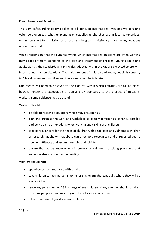#### **Elim International Missions**

This Elim safeguarding policy applies to all our Elim International Missions workers and volunteers overseas; whether planting or establishing churches within local communities, visiting on short-term mission or placed as a long-term missionary in our many locations around the world.

Whilst recognising that the cultures, within which international missions are often working may adopt different standards to the care and treatment of children, young people and adults at risk, the standards and principles adopted within the UK are expected to apply in international mission situations. The maltreatment of children and young people is contrary to Biblical values and practices and therefore cannot be tolerated.

Due regard will need to be given to the cultures within which activities are taking place, however under the expectation of applying UK standards to the practice of missions' workers, some guidance may be useful.

Workers should:

- be able to recognise situations which may present risks
- plan and organise the work and workplace so as to minimise risks as far as possible and be visible to other adults when working and talking with children
- take particular care for the needs of children with disabilities and vulnerable children as research has shown that abuse can often go unrecognised and unreported due to people's attitudes and assumptions about disability
- ensure that others know where interviews of children are taking place and that someone else is around in the building

Workers should **not**:

- spend excessive time alone with children
- take children to their personal home, or stay overnight, especially where they will be alone with you
- leave any person under 18 in charge of any children of any age, nor should children or young people attending any group be left alone at any time
- hit or otherwise physically assault children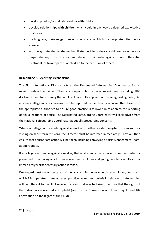- develop physical/sexual relationships with children
- develop relationships with children which could in any way be deemed exploitative or abusive
- use language, make suggestions or offer advice, which is inappropriate, offensive or abusive.
- act in ways intended to shame, humiliate, belittle or degrade children, or otherwise perpetrate any form of emotional abuse, discriminate against, show differential treatment, or favour particular children to the exclusion of others.

# **Responding & Reporting Mechanisms**

The Elim International Director acts as the Designated Safeguarding Coordinator for all mission related activities. They are responsible for safe recruitment including DBS disclosures and for ensuring that applicants are fully apprised of the safeguarding policy. All incidents, allegations or concerns must be reported to the Director who will then liaise with the appropriate authorities to ensure good practice is followed in relation to the reporting of any allegations of abuse. The Designated Safeguarding Coordinator will seek advice from

the National Safeguarding Coordinator about all safeguarding concerns.<br>Where an allegation is made against a worker (whether located long-term on mission or visiting on short-term mission), the Director must be informed immediately. They will then ensure that appropriate action will be taken including conveying a Crisis Management Team, as appropriate.

If an allegation is made against a worker, that worker must be removed from their duties or prevented from having any further contact with children and young people or adults at risk immediately whilst necessary action is taken.

Due regard must always be taken of the laws and frameworks in place within any country in which Elim operates. In many cases, practice, values and beliefs in relation to safeguarding will be different to the UK. However, care must always be taken to ensure that the rights of the individuals concerned are upheld (see the UN Convention on Human Rights and UN Convention on the Rights of the Child).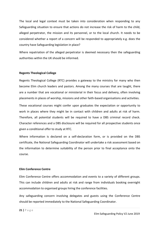The local and legal context must be taken into consideration when responding to any Safeguarding situation to ensure that actions do not increase the risk of harm to the child, alleged perpetrator, the mission and its personnel, or to the local church. It needs to be considered whether a report of a concern will be responded to appropriately e.g. does the country have Safeguarding legislation in place?

Where repatriation of the alleged perpetrator is deemed necessary then the safeguarding authorities within the UK should be informed.

#### **Regents Theological College**

Regents Theological College (RTC) provides a gateway to the ministry for many who then become Elim church leaders and pastors. Among the many courses that are taught, there are a number that are vocational or ministerial in their focus and delivery, often involving placements in places of worship, missions and other faith-based organisations and activities.

These vocational courses might confer upon graduates the expectation or opportunity to work in places where they might be in contact with children and adults at risk of harm. Therefore, all potential students will be required to have a DBS criminal record check. Character references and a DBS disclosure will be required for all prospective students once given a conditionaloffer to study at RTC.

Where information is declared on a self-declaration form, or is provided on the DBS certificate, the National Safeguarding Coordinator will undertake a risk assessment based on the information to determine suitability of the person prior to final acceptance onto the course.

#### **Elim Conference Centre**

Elim Conference Centre offers accommodation and events to a variety of different groups. This can include children and adults at risk and range from individuals booking overnight accommodation to organised groups hiring the conference facilities.

Any safeguarding concern involving delegates and guests using the Conference Centre should be reported immediately to the National Safeguarding Coordinator.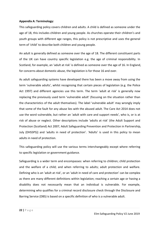# **Appendix A: Terminology:**

This safeguarding policy covers children and adults. A child is defined as someone under the age of 18, this includes children and young people. As churches operate their children's and youth groups with different age ranges, this policy is not prescriptive and uses the general term of 'child' to describe both children and young people.

An adult is generally defined as someone over the age of 18. The different constituent parts of the UK can have country specific legislation e.g. the age of criminal responsibility. In Scotland, for example, an 'adult at risk' is defined as someone over the age of 16. In England, for concerns about domestic abuse, the legislation is for those 16 and over.

As adult safeguarding systems have developed there has been a move away from using the term 'vulnerable adults', whilst recognising that certain pieces of legislation (e.g. the Police Act 1997) and different agencies use this term.The term 'adult at risk' is generally now replacing the previously used term 'vulnerable adult' (focusing on the situation rather than the characteristics of the adult themselves). The label 'vulnerable adult' may wrongly imply that some of the fault for any abuse lies with the abused adult. The Care Act 2014 does not use the word vulnerable, but rather an 'adult with care and support needs', who is, or is at risk of abuse or neglect. Other descriptions include 'adults at risk' (the Adult Support and Protection (Scotland) Act 2007, Adult Safeguarding Prevention and Protection in Partnership,<br>July (DHSSPS)) and 'adults in need of protection'. 'Adults' is used in this policy to mean adults in need of protection.

This safeguarding policy will use the various terms interchangeably except where referring to specific legislation or government guidance.

Safeguarding is a wider term and encompasses: when referring to children; child protection and the welfare of a child; and when referring to adults; adult protection and welfare. Defining who is an 'adult at risk', or an 'adult in need of care and protection' can be complex as there are many different definitions within legislation; reaching a certain age or having a disability does not necessarily mean that an individual is vulnerable. For example, determining who qualifies for a criminal record disclosure check through the Disclosure and Barring Service (DBS) is based on a specific definition of who is a vulnerable adult.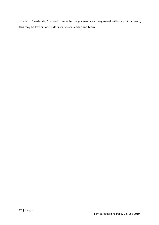The term 'Leadership' is used to refer to the governance arrangement within an Elim church; this may be Pastors and Elders, or Senior Leader and team.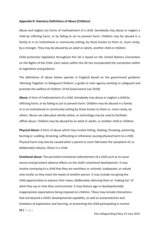# **Appendix B: Statutory Definitions of Abuse (Children)**

Abuse and neglect are forms of maltreatment of a child. Somebody may abuse or neglect a child by inflicting harm, or by failing to act to prevent harm. Children may be abused in a family or in an institutional or community setting; by those known to them or, more rarely, by a stranger. They may be abused by an adult or adults, another child or children.

Child protection legislation throughout the UK is based on the United Nations Convention on the Rights of the Child. Each nation within the UK has incorporated the convention within its legislation and guidance.

The definitions of abuse below operate in England based on the government guidance 'Working Together to Safeguard Children: a guide to inter-agency working to safeguard and promote the welfare of children' (H M Government July 2018).

**Abuse:** A form of maltreatment of a child. Somebody may abuse or neglect a child by inflicting harm, or by failing to act to prevent harm. Children may be abused in a family or in an institutional or community setting by those known to them or, more rarely, by others. Abuse can take place wholly online, or technology may be used to facilitate offline abuse. Children may be abused by an adult or adults, or another child or children.

**Physical Abuse:** A form of abuse which may involve hitting, shaking, throwing, poisoning, burning or scalding, drowning, suffocating or otherwise causing physical harm to a child. Physical harm may also be caused when a parentor carer fabricates the symptoms of, or deliberately induces, illness in a child.

**Emotional abuse:** The persistent emotional maltreatment of a child such as to cause severe and persistent adverse effects on the child's emotional development. It may involve conveying to a child that they are worthless or unloved, inadequate, or valued only insofar as they meet the needs of another person. It may include not giving the child opportunities to express their views, deliberately silencing them or 'making fun' of what they say or how they communicate. It may feature age or developmentally inappropriate expectations being imposed on children. These may include interactions that are beyond a child's developmental capability, as well as overprotection and limitation of exploration and learning, or preventing the child participating in normal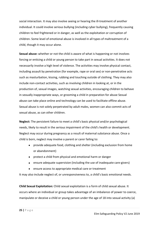social interaction. It may also involve seeing or hearing the ill-treatment of another individual. It could involve serious bullying (including cyber bullying), frequently causing children to feel frightened or in danger, as well as the exploitation or corruption of children. Some level of emotional abuse is involved in all types of maltreatment of a child, though it may occur alone.

**Sexual abuse:** whether or not the child is aware of what is happening or not involves forcing or enticing a child or young person to take part in sexual activities. It does not necessarily involve a high level of violence. The activities may involve physical contact, including assault by penetration (for example, rape or oral sex) or non-penetrative acts such as masturbation, kissing, rubbing and touching outside of clothing. They may also include non-contact activities, such as involving children in looking at, or in the production of, sexual images, watching sexual activities, encouraging children to behave in sexually inappropriate ways, or grooming a child in preparation for abuse Sexual abuse can take place online and technology can be used to facilitate offline abuse. Sexual abuse is not solely perpetrated by adultmales, women can also commit acts of sexual abuse, as can other children.

**Neglect:** The persistent failure to meet a child's basic physical and/or psychological needs, likely to result in the serious impairment of the child's health or development. Neglect may occur during pregnancy as a result of maternal substance abuse. Once a child is born, neglect may involve a parent or carer failing to:

- provide adequate food, clothing and shelter (including exclusion from home or abandonment)
- protect a child from physical and emotional harm or danger
- ensure adequate supervision (including the use of inadequate care-givers)
- ensure access to appropriate medical care or treatment

It may also include neglect of, or unresponsiveness to, a child's basic emotional needs.

**Child Sexual Exploitation:** Child sexual exploitation is a form ofchild sexual abuse. It occurs where an individual or group takes advantage of an imbalance of power to coerce, manipulate or deceive a child or young person under the age of 18 into sexual activity (a)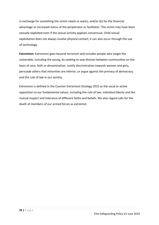in exchange for something the victim needs or wants, and/or (b) for the financial advantage or increased status of the perpetrator or facilitator. The victim may have been sexually exploited even if the sexual activity appears consensual. Child sexual exploitation does not always involve physical contact; it can also occur through the use of technology.

**Extremism:** Extremism goes beyond terrorism and includes people who target the vulnerable, including the young, by seeking to sow division between communities on the basis of race, faith or denomination. Justify discrimination towards women and girls; persuade others that minorities are inferior; or argue against the primacy of democracy and the rule of law in our society.

Extremism is defined in the Counter Extremism Strategy 2015 as the vocal or active opposition to our fundamental values, including the rule of law, individual liberty and the mutual respect and tolerance of different faiths and beliefs. We also regard calls forthe death of members of our armed forces as extremist.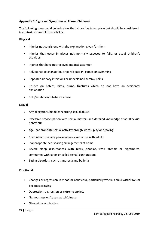# **Appendix C: Signs and Symptoms of Abuse (Children)**

The following signs could be indicators that abuse has taken place but should be considered in context of the child's whole life.

# **Physical**

- Injuries not consistent with the explanation given for them
- Injuries that occur in places not normally exposed to falls, or usual children's activities
- Injuries that have not received medical attention
- Reluctance to change for, or participate in, games or swimming
- Repeated urinary infections or unexplained tummy pains
- Bruises on babies, bites, burns, fractures which do not have an accidental explanation
- Cuts/scratches/substance abuse

#### **Sexual**

- Any allegations made concerning sexual abuse
- Excessive preoccupation with sexual matters and detailed knowledge of adult sexual behaviour
- Age-inappropriate sexual activity through words, play or drawing
- Child who is sexually provocative or seductive with adults
- Inappropriate bed-sharing arrangements at home
- Severe sleep disturbances with fears, phobias, vivid dreams or nightmares, sometimes with overt or veiled sexual connotations
- Eating disorders, such as anorexia and bulimia

# **Emotional**

- Changes or regression in mood or behaviour, particularly where a child withdraws or becomes clinging
- Depression, aggression or extreme anxiety
- Nervousness or frozen watchfulness
- Obsessions or phobias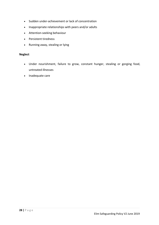- Sudden under-achievement or lack of concentration
- Inappropriate relationships with peers and/or adults
- Attention-seeking behaviour
- Persistent tiredness
- Running away, stealing or lying

# **Neglect**

- Under nourishment, failure to grow, constant hunger, stealing or gorging food, untreated illnesses
- Inadequate care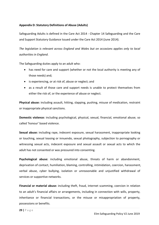# **Appendix D: Statutory Definitions of Abuse (Adults)**

Safeguarding Adults is defined in the Care Act 2014 - Chapter 14 Safeguarding and the Care and Support Statutory Guidance Issued under the Care Act 2014 (June 2014).

*The legislation is relevant across England and Wales but on occasions applies only to local authorities in England*.

The Safeguarding duties apply to an adult who:

- has need for care and support (whether or not the local authority is meeting any of those needs) and;
- is experiencing, or at risk of, abuse or neglect; and
- as a result of those care and support needs is unable to protect themselves from either the risk of, or the experience of abuse or neglect.

**Physical abuse:** including assault, hitting, slapping, pushing, misuse of medication, restraint or inappropriate physical sanctions.

**Domestic violence:** including psychological, physical, sexual, financial, emotional abuse; so called 'honour' based violence.

**Sexual abuse:** including rape, indecent exposure, sexual harassment, inappropriate looking or touching, sexual teasing or innuendo, sexual photography, subjection to pornography or witnessing sexual acts, indecent exposure and sexual assault or sexual acts to which the adult has not consented or was pressured into consenting.

**Psychological abuse:** including emotional abuse, threats of harm or abandonment, deprivation of contact, humiliation, blaming, controlling, intimidation, coercion, harassment, verbal abuse, cyber bullying, isolation or unreasonable and unjustified withdrawal of services or supportive networks.

**Financial or material abuse:** including theft, fraud, internet scamming, coercion in relation to an adult's financial affairs or arrangements, including in connection with wills, property, inheritance or financial transactions, or the misuse or misappropriation of property, possessions or benefits.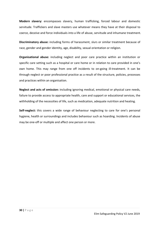**Modern slavery:** encompasses slavery, human trafficking, forced labour and domestic servitude. Traffickers and slave masters use whatever means they have at their disposal to coerce, deceive and force individuals into a life of abuse, servitude and inhumane treatment.

**Discriminatory abuse:** including forms of harassment, slurs or similar treatment because of race, gender and gender identity, age, disability, sexual orientation or religion.

**Organisational abuse:** including neglect and poor care practice within an institution or specific care setting such as a hospital or care home or in relation to care provided in one's own home. This may range from one off incidents to on-going ill-treatment. It can be through neglect or poor professional practice as a result of the structure, policies, processes and practices within an organisation.

**Neglect and acts of omission:** including ignoring medical, emotional or physical care needs, failure to provide access to appropriate health, care and support or educational services, the withholding of the necessities of life, such as medication, adequate nutrition and heating.

**Self-neglect:** this covers a wide range of behaviour neglecting to care for one's personal hygiene, health or surroundings and includes behaviour such as hoarding. Incidents of abuse may be one-off or multiple and affect one person or more.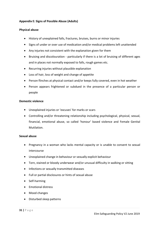# **Appendix E: Signs of Possible Abuse (Adults)**

# **Physical abuse**

- History of unexplained falls, fractures, bruises, burns or minor injuries
- Signs of under or over use of medication and/or medical problems left unattended
- Any injuries not consistent with the explanation given for them
- Bruising and discolouration particularly if there is a lot of bruising of different ages and in places not normally exposed to falls, rough games etc.
- Recurring injuries without plausible explanation
- Loss of hair, loss of weight and change of appetite
- Person flinches at physical contact and/or keeps fully covered, even in hot weather
- Person appears frightened or subdued in the presence of a particular person or people

### **Domestic violence**

- Unexplained injuries or 'excuses' for marks or scars
- Controlling and/or threatening relationship including psychological, physical, sexual, financial, emotional abuse, so called 'honour' based violence and Female Genital Mutilation.

#### **Sexual abuse**

- Pregnancy in awoman who lacks mental capacity or is unable to consent to sexual intercourse
- Unexplained change in behaviour or sexually explicit behaviour
- Torn, stained or bloody underwear and/or unusual difficulty in walking or sitting
- Infections or sexually transmitted diseases
- Full or partial disclosures or hints of sexual abuse
- Self-harming
- Emotional distress
- Mood changes
- Disturbed sleep patterns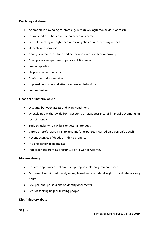# **Psychological abuse**

- Alteration in psychological state e.g. withdrawn, agitated, anxious or tearful
- Intimidated or subdued in the presence of a carer
- Fearful, flinching or frightened of making choices or expressing wishes
- Unexplained paranoia
- Changes in mood, attitude and behaviour, excessive fear or anxiety
- Changes in sleep pattern or persistent tiredness
- Loss of appetite
- Helplessness or passivity
- Confusion or disorientation
- Implausible stories and attention seeking behaviour
- Low self-esteem

#### **Financial or material abuse**

- Disparity between assets and living conditions
- Unexplained withdrawals from accounts or disappearance of financial documents or loss of money
- Sudden inability to pay bills or getting into debt
- Carers or professionals fail to account for expenses incurred on a person's behalf
- Recent changes of deeds or title to property
- Missing personal belongings
- Inappropriate granting and/or use of Power of Attorney

#### **Modern slavery**

- Physical appearance; unkempt, inappropriate clothing, malnourished
- Movement monitored, rarely alone, travel early or late at night to facilitate working hours
- Few personal possessions or identity documents
- Fear of seeking help or trusting people

#### **Discriminatory abuse**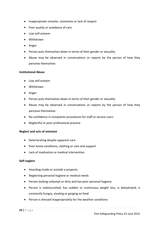- Inappropriate remarks, comments or lack of respect
- Poor quality or avoidance of care
- Low self-esteem
- Withdrawn
- Anger
- Person puts themselves down in terms of their gender or sexuality
- Abuse may be observed in conversations or reports by the person of how they perceive themselves

# **Institutional Abuse**

- Low self-esteem
- Withdrawn
- Anger
- Person puts themselves down in terms of their gender or sexuality
- Abuse may be observed in conversations or reports by the person of how they perceive themselves
- No confidence in complaints procedures for staff or service users
- Neglectful or poor professional practice

# **Neglect and acts of omission**

- Deteriorating despite apparent care
- Poor home conditions, clothing or care and support
- Lack of medication or medical intervention

# **Self-neglect**

- Hoarding inside or outside a property
- Neglecting personal hygiene or medical needs
- Person looking unkempt or dirty and has poor personal hygiene
- Person is malnourished, has sudden or continuous weight loss, is dehydrated, is constantly hungry, stealing or gorging on food
- Person is dressed inappropriately for the weather conditions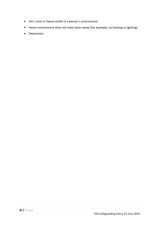- Dirt, urine or faecal smells in a person's environment
- Home environment does not meet basic needs (for example, no heating or lighting)
- Depression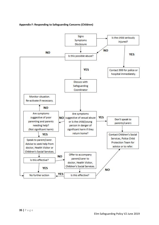#### **Appendix F: Responding to Safeguarding Concerns (Children)**